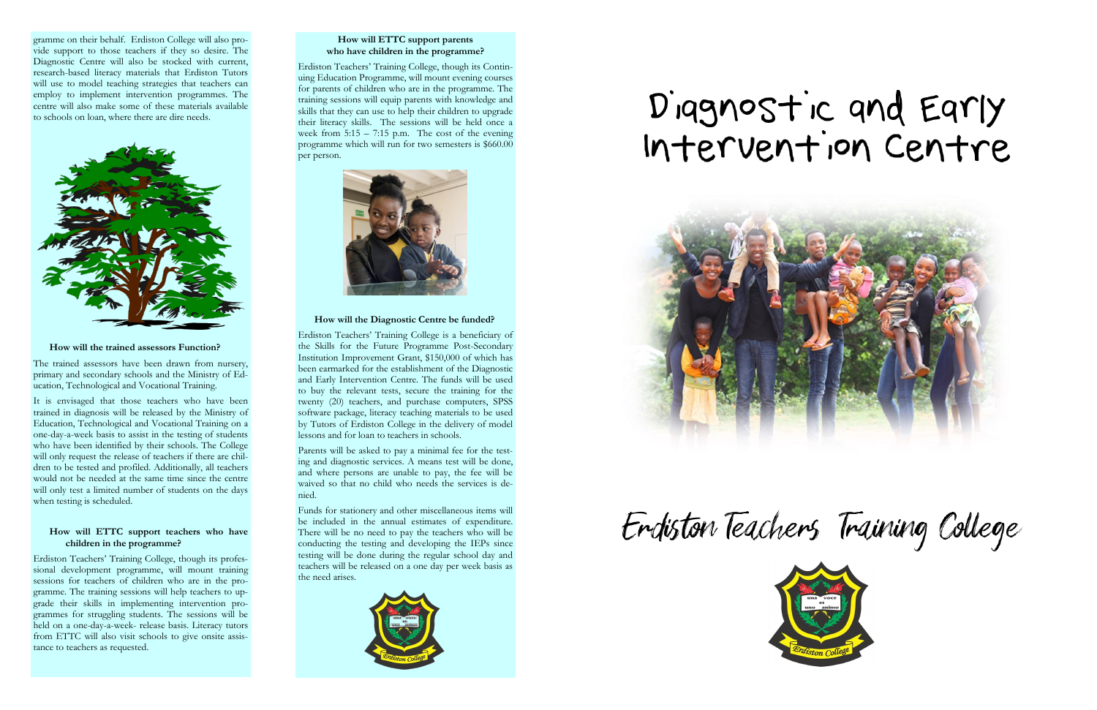gramme on their behalf. Erdiston College will also provide support to those teachers if they so desire. The Diagnostic Centre will also be stocked with current, research-based literacy materials that Erdiston Tutors will use to model teaching strategies that teachers can employ to implement intervention programmes. The centre will also make some of these materials available to schools on loan, where there are dire needs.



#### **How will the trained assessors Function?**

The trained assessors have been drawn from nursery, primary and secondary schools and the Ministry of Education, Technological and Vocational Training.

It is envisaged that those teachers who have been trained in diagnosis will be released by the Ministry of Education, Technological and Vocational Training on a one-day-a-week basis to assist in the testing of students who have been identified by their schools. The College will only request the release of teachers if there are children to be tested and profiled. Additionally, all teachers would not be needed at the same time since the centre will only test a limited number of students on the days when testing is scheduled.

#### **How will ETTC support teachers who have children in the programme?**

Erdiston Teachers' Training College, though its professional development programme, will mount training sessions for teachers of children who are in the programme. The training sessions will help teachers to upgrade their skills in implementing intervention programmes for struggling students. The sessions will be held on a one-day-a-week- release basis. Literacy tutors from ETTC will also visit schools to give onsite assistance to teachers as requested.

#### **How will ETTC support parents who have children in the programme?**

Erdiston Teachers' Training College, though its Continuing Education Programme, will mount evening courses for parents of children who are in the programme. The training sessions will equip parents with knowledge and skills that they can use to help their children to upgrade their literacy skills. The sessions will be held once a week from  $5:15 - 7:15$  p.m. The cost of the evening programme which will run for two semesters is \$660.00 per person.



#### **How will the Diagnostic Centre be funded?**

Erdiston Teachers' Training College is a beneficiary of the Skills for the Future Programme Post-Secondary Institution Improvement Grant, \$150,000 of which has been earmarked for the establishment of the Diagnostic and Early Intervention Centre. The funds will be used to buy the relevant tests, secure the training for the twenty (20) teachers, and purchase computers, SPSS software package, literacy teaching materials to be used by Tutors of Erdiston College in the delivery of model lessons and for loan to teachers in schools.

Parents will be asked to pay a minimal fee for the testing and diagnostic services. A means test will be done, and where persons are unable to pay, the fee will be waived so that no child who needs the services is denied.

Funds for stationery and other miscellaneous items will be included in the annual estimates of expenditure. There will be no need to pay the teachers who will be conducting the testing and developing the IEPs since testing will be done during the regular school day and teachers will be released on a one day per week basis as the need arises.



# Diagnostic and Early Intervention Centre





Endiston Teachers Training College